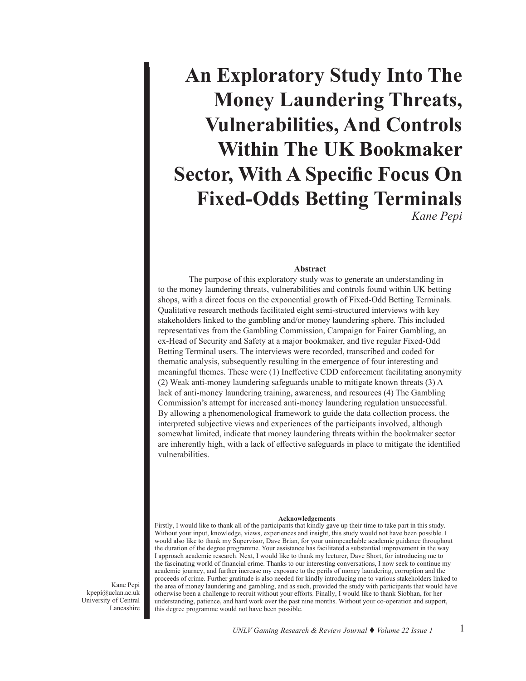# **An Exploratory Study Into The Money Laundering Threats, Vulnerabilities, And Controls Within The UK Bookmaker Sector, With A Specific Focus On Fixed-Odds Betting Terminals** *Kane Pepi*

## **Abstract**

The purpose of this exploratory study was to generate an understanding in to the money laundering threats, vulnerabilities and controls found within UK betting shops, with a direct focus on the exponential growth of Fixed-Odd Betting Terminals. Qualitative research methods facilitated eight semi-structured interviews with key stakeholders linked to the gambling and/or money laundering sphere. This included representatives from the Gambling Commission, Campaign for Fairer Gambling, an ex-Head of Security and Safety at a major bookmaker, and five regular Fixed-Odd Betting Terminal users. The interviews were recorded, transcribed and coded for thematic analysis, subsequently resulting in the emergence of four interesting and meaningful themes. These were (1) Ineffective CDD enforcement facilitating anonymity (2) Weak anti-money laundering safeguards unable to mitigate known threats (3) A lack of anti-money laundering training, awareness, and resources (4) The Gambling Commission's attempt for increased anti-money laundering regulation unsuccessful. By allowing a phenomenological framework to guide the data collection process, the interpreted subjective views and experiences of the participants involved, although somewhat limited, indicate that money laundering threats within the bookmaker sector are inherently high, with a lack of effective safeguards in place to mitigate the identified vulnerabilities.

#### **Acknowledgements**

Firstly, I would like to thank all of the participants that kindly gave up their time to take part in this study. Without your input, knowledge, views, experiences and insight, this study would not have been possible. I would also like to thank my Supervisor, Dave Brian, for your unimpeachable academic guidance throughout the duration of the degree programme. Your assistance has facilitated a substantial improvement in the way I approach academic research. Next, I would like to thank my lecturer, Dave Short, for introducing me to the fascinating world of financial crime. Thanks to our interesting conversations, I now seek to continue my academic journey, and further increase my exposure to the perils of money laundering, corruption and the proceeds of crime. Further gratitude is also needed for kindly introducing me to various stakeholders linked to the area of money laundering and gambling, and as such, provided the study with participants that would have otherwise been a challenge to recruit without your efforts. Finally, I would like to thank Siobhan, for her understanding, patience, and hard work over the past nine months. Without your co-operation and support, this degree programme would not have been possible.

Kane Pepi kpepi@uclan.ac.uk University of Central Lancashire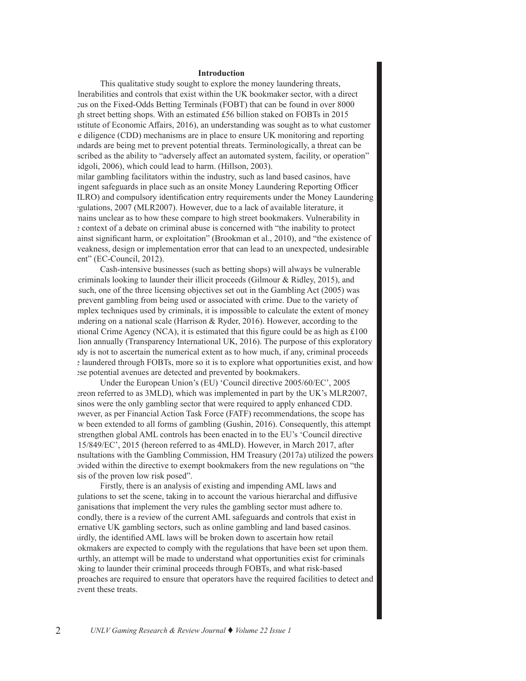#### **Introduction**

This qualitative study sought to explore the money laundering threats, lnerabilities and controls that exist within the UK bookmaker sector, with a direct zus on the Fixed-Odds Betting Terminals (FOBT) that can be found in over 8000  $zh$  street betting shops. With an estimated £56 billion staked on FOBTs in 2015 istitute of Economic Affairs,  $2016$ ), an understanding was sought as to what customer due diligence (CDD) mechanisms are in place to ensure UK monitoring and reporting standards are being met to prevent potential threats. Terminologically, a threat can be scribed as the ability to "adversely affect an automated system, facility, or operation" idgoli, 2006), which could lead to harm. (Hillson, 2003).

milar gambling facilitators within the industry, such as land based casinos, have ingent safeguards in place such as an onsite Money Laundering Reporting Officer (MLRO) and compulsory identification entry requirements under the Money Laundering egulations, 2007 (MLR2007). However, due to a lack of available literature, it remains unclear as to how these compare to high street bookmakers. Vulnerability in the context of a debate on criminal abuse is concerned with "the inability to protect ainst significant harm, or exploitation" (Brookman et al., 2010), and "the existence of a weakness, design or implementation error that can lead to an unexpected, undesirable ent" (EC-Council, 2012).

Cash-intensive businesses (such as betting shops) will always be vulnerable criminals looking to launder their illicit proceeds (Gilmour & Ridley, 2015), and such, one of the three licensing objectives set out in the Gambling Act (2005) was prevent gambling from being used or associated with crime. Due to the variety of mplex techniques used by criminals, it is impossible to calculate the extent of money indering on a national scale (Harrison & Ryder, 2016). However, according to the Itional Crime Agency (NCA), it is estimated that this figure could be as high as  $\text{\pounds}100$ lion annually (Transparency International UK,  $2016$ ). The purpose of this exploratory study is not to ascertain the numerical extent as to how much, if any, criminal proceeds are laundered through FOBTs, more so it is to explore what opportunities exist, and how ese potential avenues are detected and prevented by bookmakers.

Under the European Union's (EU) 'Council directive 2005/60/EC', 2005 ereon referred to as 3MLD), which was implemented in part by the UK's MLR2007, sinos were the only gambling sector that were required to apply enhanced CDD. however, as per Financial Action Task Force (FATF) recommendations, the scope has w been extended to all forms of gambling (Gushin, 2016). Consequently, this attempt strengthen global AML controls has been enacted in to the EU's 'Council directive 2015/849/EC', 2015 (hereon referred to as 4MLD). However, in March 2017, after nsultations with the Gambling Commission, HM Treasury  $(2017a)$  utilized the powers provided within the directive to exempt bookmakers from the new regulations on "the sis of the proven low risk posed".

Firstly, there is an analysis of existing and impending AML laws and gulations to set the scene, taking in to account the various hierarchal and diffusive ganisations that implement the very rules the gambling sector must adhere to. condly, there is a review of the current AML safeguards and controls that exist in ernative UK gambling sectors, such as online gambling and land based casinos. irdly, the identified AML laws will be broken down to ascertain how retail okmakers are expected to comply with the regulations that have been set upon them. urthly, an attempt will be made to understand what opportunities exist for criminals being to launder their criminal proceeds through FOBTs, and what risk-based approaches are required to ensure that operators have the required facilities to detect and event these treats.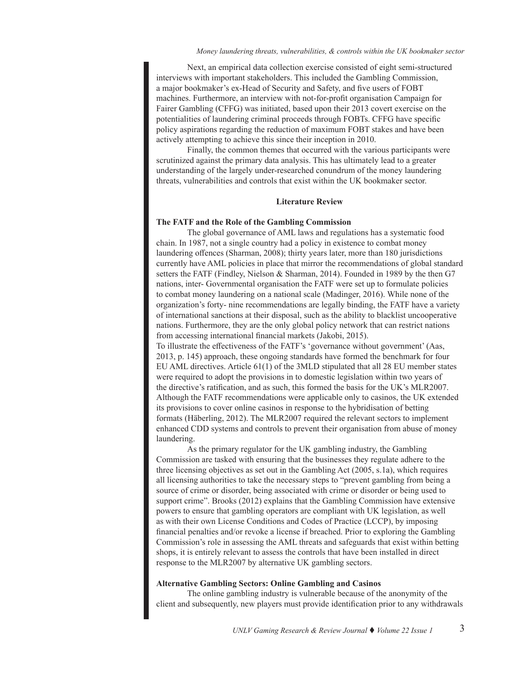Next, an empirical data collection exercise consisted of eight semi-structured interviews with important stakeholders. This included the Gambling Commission, a major bookmaker's ex-Head of Security and Safety, and five users of FOBT machines. Furthermore, an interview with not-for-profit organisation Campaign for Fairer Gambling (CFFG) was initiated, based upon their 2013 covert exercise on the potentialities of laundering criminal proceeds through FOBTs. CFFG have specific policy aspirations regarding the reduction of maximum FOBT stakes and have been actively attempting to achieve this since their inception in 2010.

Finally, the common themes that occurred with the various participants were scrutinized against the primary data analysis. This has ultimately lead to a greater understanding of the largely under-researched conundrum of the money laundering threats, vulnerabilities and controls that exist within the UK bookmaker sector.

#### **Literature Review**

#### **The FATF and the Role of the Gambling Commission**

The global governance of AML laws and regulations has a systematic food chain. In 1987, not a single country had a policy in existence to combat money laundering offences (Sharman, 2008); thirty years later, more than 180 jurisdictions currently have AML policies in place that mirror the recommendations of global standard setters the FATF (Findley, Nielson & Sharman, 2014). Founded in 1989 by the then G7 nations, inter- Governmental organisation the FATF were set up to formulate policies to combat money laundering on a national scale (Madinger, 2016). While none of the organization's forty- nine recommendations are legally binding, the FATF have a variety of international sanctions at their disposal, such as the ability to blacklist uncooperative nations. Furthermore, they are the only global policy network that can restrict nations from accessing international financial markets (Jakobi, 2015).

To illustrate the effectiveness of the FATF's 'governance without government' (Aas, 2013, p. 145) approach, these ongoing standards have formed the benchmark for four EU AML directives. Article 61(1) of the 3MLD stipulated that all 28 EU member states were required to adopt the provisions in to domestic legislation within two years of the directive's ratification, and as such, this formed the basis for the UK's MLR2007. Although the FATF recommendations were applicable only to casinos, the UK extended its provisions to cover online casinos in response to the hybridisation of betting formats (Häberling, 2012). The MLR2007 required the relevant sectors to implement enhanced CDD systems and controls to prevent their organisation from abuse of money laundering.

As the primary regulator for the UK gambling industry, the Gambling Commission are tasked with ensuring that the businesses they regulate adhere to the three licensing objectives as set out in the Gambling Act (2005, s.1a), which requires all licensing authorities to take the necessary steps to "prevent gambling from being a source of crime or disorder, being associated with crime or disorder or being used to support crime". Brooks (2012) explains that the Gambling Commission have extensive powers to ensure that gambling operators are compliant with UK legislation, as well as with their own License Conditions and Codes of Practice (LCCP), by imposing financial penalties and/or revoke a license if breached. Prior to exploring the Gambling Commission's role in assessing the AML threats and safeguards that exist within betting shops, it is entirely relevant to assess the controls that have been installed in direct response to the MLR2007 by alternative UK gambling sectors.

#### **Alternative Gambling Sectors: Online Gambling and Casinos**

The online gambling industry is vulnerable because of the anonymity of the client and subsequently, new players must provide identification prior to any withdrawals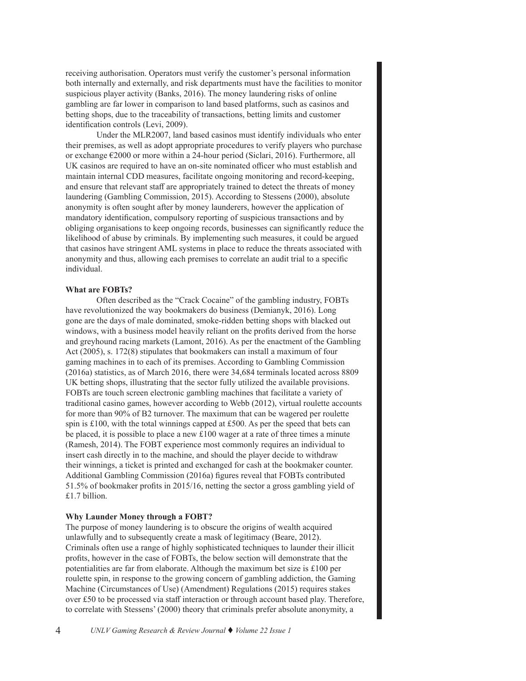receiving authorisation. Operators must verify the customer's personal information both internally and externally, and risk departments must have the facilities to monitor suspicious player activity (Banks, 2016). The money laundering risks of online gambling are far lower in comparison to land based platforms, such as casinos and betting shops, due to the traceability of transactions, betting limits and customer identification controls (Levi, 2009).

Under the MLR2007, land based casinos must identify individuals who enter their premises, as well as adopt appropriate procedures to verify players who purchase or exchange €2000 or more within a 24-hour period (Siclari, 2016). Furthermore, all UK casinos are required to have an on-site nominated officer who must establish and maintain internal CDD measures, facilitate ongoing monitoring and record-keeping, and ensure that relevant staff are appropriately trained to detect the threats of money laundering (Gambling Commission, 2015). According to Stessens (2000), absolute anonymity is often sought after by money launderers, however the application of mandatory identification, compulsory reporting of suspicious transactions and by obliging organisations to keep ongoing records, businesses can significantly reduce the likelihood of abuse by criminals. By implementing such measures, it could be argued that casinos have stringent AML systems in place to reduce the threats associated with anonymity and thus, allowing each premises to correlate an audit trial to a specific individual.

#### **What are FOBTs?**

Often described as the "Crack Cocaine" of the gambling industry, FOBTs have revolutionized the way bookmakers do business (Demianyk, 2016). Long gone are the days of male dominated, smoke-ridden betting shops with blacked out windows, with a business model heavily reliant on the profits derived from the horse and greyhound racing markets (Lamont, 2016). As per the enactment of the Gambling Act (2005), s. 172(8) stipulates that bookmakers can install a maximum of four gaming machines in to each of its premises. According to Gambling Commission (2016a) statistics, as of March 2016, there were 34,684 terminals located across 8809 UK betting shops, illustrating that the sector fully utilized the available provisions. FOBTs are touch screen electronic gambling machines that facilitate a variety of traditional casino games, however according to Webb (2012), virtual roulette accounts for more than 90% of B2 turnover. The maximum that can be wagered per roulette spin is  $£100$ , with the total winnings capped at £500. As per the speed that bets can be placed, it is possible to place a new £100 wager at a rate of three times a minute (Ramesh, 2014). The FOBT experience most commonly requires an individual to insert cash directly in to the machine, and should the player decide to withdraw their winnings, a ticket is printed and exchanged for cash at the bookmaker counter. Additional Gambling Commission (2016a) figures reveal that FOBTs contributed 51.5% of bookmaker profits in 2015/16, netting the sector a gross gambling yield of £1.7 billion.

# **Why Launder Money through a FOBT?**

The purpose of money laundering is to obscure the origins of wealth acquired unlawfully and to subsequently create a mask of legitimacy (Beare, 2012). Criminals often use a range of highly sophisticated techniques to launder their illicit profits, however in the case of FOBTs, the below section will demonstrate that the potentialities are far from elaborate. Although the maximum bet size is £100 per roulette spin, in response to the growing concern of gambling addiction, the Gaming Machine (Circumstances of Use) (Amendment) Regulations (2015) requires stakes over £50 to be processed via staff interaction or through account based play. Therefore, to correlate with Stessens' (2000) theory that criminals prefer absolute anonymity, a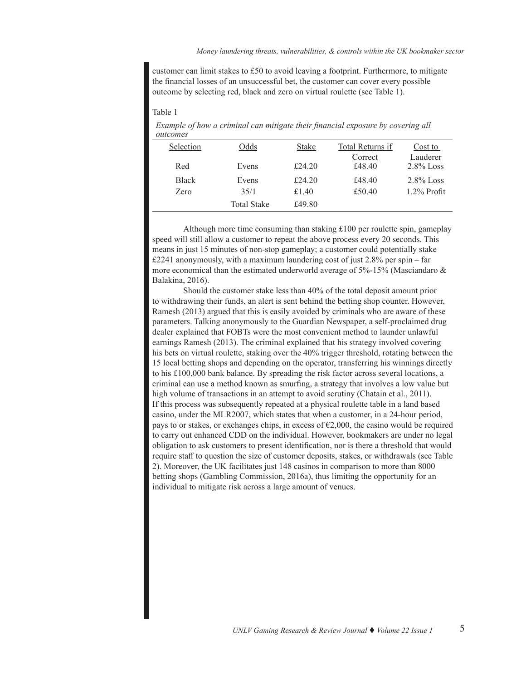customer can limit stakes to £50 to avoid leaving a footprint. Furthermore, to mitigate the financial losses of an unsuccessful bet, the customer can cover every possible outcome by selecting red, black and zero on virtual roulette (see Table 1).

#### Table 1

*Example of how a criminal can mitigate their financial exposure by covering all outcomes*

| Selection    | Odds               | <b>Stake</b> | Total Returns if  | Cost to                  |
|--------------|--------------------|--------------|-------------------|--------------------------|
| Red          | Evens              | £24.20       | Correct<br>£48.40 | Lauderer<br>$2.8\%$ Loss |
| <b>Black</b> | Evens              | £24.20       | £48.40            | $2.8\%$ Loss             |
| Zero         | 35/1               | £1.40        | £50.40            | $1.2\%$ Profit           |
|              | <b>Total Stake</b> | £49.80       |                   |                          |

Although more time consuming than staking £100 per roulette spin, gameplay speed will still allow a customer to repeat the above process every 20 seconds. This means in just 15 minutes of non-stop gameplay; a customer could potentially stake £2241 anonymously, with a maximum laundering cost of just 2.8% per spin – far more economical than the estimated underworld average of 5%-15% (Masciandaro & Balakina, 2016).

Should the customer stake less than 40% of the total deposit amount prior to withdrawing their funds, an alert is sent behind the betting shop counter. However, Ramesh (2013) argued that this is easily avoided by criminals who are aware of these parameters. Talking anonymously to the Guardian Newspaper, a self-proclaimed drug dealer explained that FOBTs were the most convenient method to launder unlawful earnings Ramesh (2013). The criminal explained that his strategy involved covering his bets on virtual roulette, staking over the 40% trigger threshold, rotating between the 15 local betting shops and depending on the operator, transferring his winnings directly to his £100,000 bank balance. By spreading the risk factor across several locations, a criminal can use a method known as smurfing, a strategy that involves a low value but high volume of transactions in an attempt to avoid scrutiny (Chatain et al., 2011). If this process was subsequently repeated at a physical roulette table in a land based casino, under the MLR2007, which states that when a customer, in a 24-hour period, pays to or stakes, or exchanges chips, in excess of  $\epsilon$ 2,000, the casino would be required to carry out enhanced CDD on the individual. However, bookmakers are under no legal obligation to ask customers to present identification, nor is there a threshold that would require staff to question the size of customer deposits, stakes, or withdrawals (see Table 2). Moreover, the UK facilitates just 148 casinos in comparison to more than 8000 betting shops (Gambling Commission, 2016a), thus limiting the opportunity for an individual to mitigate risk across a large amount of venues.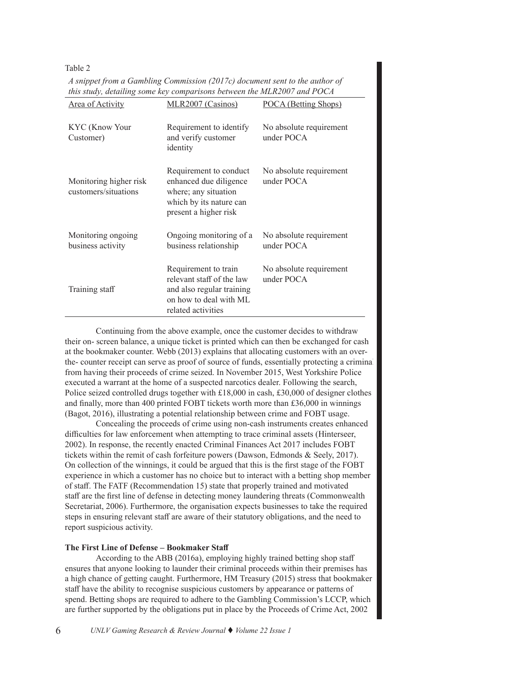Table 2

*A snippet from a Gambling Commission (2017c) document sent to the author of this study, detailing some key comparisons between the MLR2007 and POCA*

| Area of Activity                               | MLR2007 (Casinos)                                                                                                              | POCA (Betting Shops)                  |
|------------------------------------------------|--------------------------------------------------------------------------------------------------------------------------------|---------------------------------------|
| KYC (Know Your<br>Customer)                    | Requirement to identify<br>and verify customer<br>identity                                                                     | No absolute requirement<br>under POCA |
| Monitoring higher risk<br>customers/situations | Requirement to conduct<br>enhanced due diligence<br>where; any situation<br>which by its nature can<br>present a higher risk   | No absolute requirement<br>under POCA |
| Monitoring ongoing<br>business activity        | Ongoing monitoring of a<br>business relationship                                                                               | No absolute requirement<br>under POCA |
| Training staff                                 | Requirement to train<br>relevant staff of the law<br>and also regular training<br>on how to deal with ML<br>related activities | No absolute requirement<br>under POCA |

Continuing from the above example, once the customer decides to withdraw their on- screen balance, a unique ticket is printed which can then be exchanged for cash at the bookmaker counter. Webb (2013) explains that allocating customers with an overthe- counter receipt can serve as proof of source of funds, essentially protecting a criminal from having their proceeds of crime seized. In November 2015, West Yorkshire Police executed a warrant at the home of a suspected narcotics dealer. Following the search, Police seized controlled drugs together with £18,000 in cash, £30,000 of designer clothes and finally, more than 400 printed FOBT tickets worth more than £36,000 in winnings (Bagot, 2016), illustrating a potential relationship between crime and FOBT usage.

Concealing the proceeds of crime using non-cash instruments creates enhanced difficulties for law enforcement when attempting to trace criminal assets (Hinterseer, 2002). In response, the recently enacted Criminal Finances Act 2017 includes FOBT tickets within the remit of cash forfeiture powers (Dawson, Edmonds & Seely, 2017). On collection of the winnings, it could be argued that this is the first stage of the FOBT experience in which a customer has no choice but to interact with a betting shop member of staff. The FATF (Recommendation 15) state that properly trained and motivated staff are the first line of defense in detecting money laundering threats (Commonwealth Secretariat, 2006). Furthermore, the organisation expects businesses to take the required steps in ensuring relevant staff are aware of their statutory obligations, and the need to report suspicious activity.

# **The First Line of Defense – Bookmaker Staff**

According to the ABB (2016a), employing highly trained betting shop staff ensures that anyone looking to launder their criminal proceeds within their premises has a high chance of getting caught. Furthermore, HM Treasury (2015) stress that bookmaker staff have the ability to recognise suspicious customers by appearance or patterns of spend. Betting shops are required to adhere to the Gambling Commission's LCCP, which are further supported by the obligations put in place by the Proceeds of Crime Act, 2002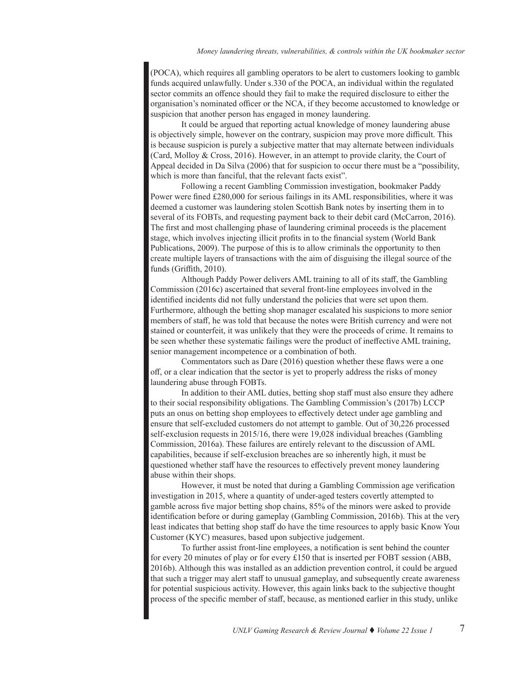(POCA), which requires all gambling operators to be alert to customers looking to gamble funds acquired unlawfully. Under s.330 of the POCA, an individual within the regulated sector commits an offence should they fail to make the required disclosure to either the organisation's nominated officer or the NCA, if they become accustomed to knowledge or suspicion that another person has engaged in money laundering.

It could be argued that reporting actual knowledge of money laundering abuse is objectively simple, however on the contrary, suspicion may prove more difficult. This is because suspicion is purely a subjective matter that may alternate between individuals (Card, Molloy & Cross, 2016). However, in an attempt to provide clarity, the Court of Appeal decided in Da Silva (2006) that for suspicion to occur there must be a "possibility, which is more than fanciful, that the relevant facts exist".

Following a recent Gambling Commission investigation, bookmaker Paddy Power were fined £280,000 for serious failings in its AML responsibilities, where it was deemed a customer was laundering stolen Scottish Bank notes by inserting them in to several of its FOBTs, and requesting payment back to their debit card (McCarron, 2016). The first and most challenging phase of laundering criminal proceeds is the placement stage, which involves injecting illicit profits in to the financial system (World Bank Publications, 2009). The purpose of this is to allow criminals the opportunity to then create multiple layers of transactions with the aim of disguising the illegal source of the funds (Griffith, 2010).

Although Paddy Power delivers AML training to all of its staff, the Gambling Commission (2016c) ascertained that several front-line employees involved in the identified incidents did not fully understand the policies that were set upon them. Furthermore, although the betting shop manager escalated his suspicions to more senior members of staff, he was told that because the notes were British currency and were not stained or counterfeit, it was unlikely that they were the proceeds of crime. It remains to be seen whether these systematic failings were the product of ineffective AML training, senior management incompetence or a combination of both.

Commentators such as Dare (2016) question whether these flaws were a one off, or a clear indication that the sector is yet to properly address the risks of money laundering abuse through FOBTs.

In addition to their AML duties, betting shop staff must also ensure they adhere to their social responsibility obligations. The Gambling Commission's (2017b) LCCP puts an onus on betting shop employees to effectively detect under age gambling and ensure that self-excluded customers do not attempt to gamble. Out of 30,226 processed self-exclusion requests in 2015/16, there were 19,028 individual breaches (Gambling Commission, 2016a). These failures are entirely relevant to the discussion of AML capabilities, because if self-exclusion breaches are so inherently high, it must be questioned whether staff have the resources to effectively prevent money laundering abuse within their shops.

However, it must be noted that during a Gambling Commission age verification investigation in 2015, where a quantity of under-aged testers covertly attempted to gamble across five major betting shop chains, 85% of the minors were asked to provide identification before or during gameplay (Gambling Commission, 2016b). This at the very least indicates that betting shop staff do have the time resources to apply basic Know Your Customer (KYC) measures, based upon subjective judgement.

To further assist front-line employees, a notification is sent behind the counter for every 20 minutes of play or for every £150 that is inserted per FOBT session (ABB, 2016b). Although this was installed as an addiction prevention control, it could be argued that such a trigger may alert staff to unusual gameplay, and subsequently create awareness for potential suspicious activity. However, this again links back to the subjective thought process of the specific member of staff, because, as mentioned earlier in this study, unlike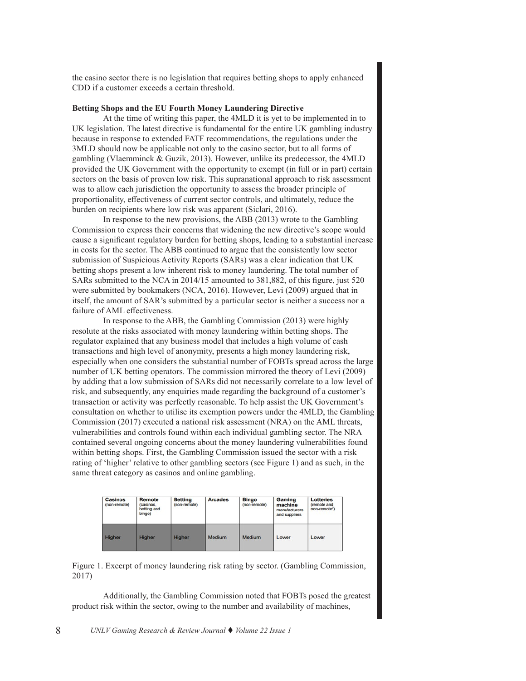the casino sector there is no legislation that requires betting shops to apply enhanced CDD if a customer exceeds a certain threshold.

#### **Betting Shops and the EU Fourth Money Laundering Directive**

At the time of writing this paper, the 4MLD it is yet to be implemented in to UK legislation. The latest directive is fundamental for the entire UK gambling industry because in response to extended FATF recommendations, the regulations under the 3MLD should now be applicable not only to the casino sector, but to all forms of gambling (Vlaemminck & Guzik, 2013). However, unlike its predecessor, the 4MLD provided the UK Government with the opportunity to exempt (in full or in part) certain sectors on the basis of proven low risk. This supranational approach to risk assessment was to allow each jurisdiction the opportunity to assess the broader principle of proportionality, effectiveness of current sector controls, and ultimately, reduce the burden on recipients where low risk was apparent (Siclari, 2016).

In response to the new provisions, the ABB (2013) wrote to the Gambling Commission to express their concerns that widening the new directive's scope would cause a significant regulatory burden for betting shops, leading to a substantial increase in costs for the sector. The ABB continued to argue that the consistently low sector submission of Suspicious Activity Reports (SARs) was a clear indication that UK betting shops present a low inherent risk to money laundering. The total number of SARs submitted to the NCA in 2014/15 amounted to 381,882, of this figure, just 520 were submitted by bookmakers (NCA, 2016). However, Levi (2009) argued that in itself, the amount of SAR's submitted by a particular sector is neither a success nor a failure of AML effectiveness.

In response to the ABB, the Gambling Commission (2013) were highly resolute at the risks associated with money laundering within betting shops. The regulator explained that any business model that includes a high volume of cash transactions and high level of anonymity, presents a high money laundering risk, especially when one considers the substantial number of FOBTs spread across the large number of UK betting operators. The commission mirrored the theory of Levi (2009) by adding that a low submission of SARs did not necessarily correlate to a low level of risk, and subsequently, any enquiries made regarding the background of a customer's transaction or activity was perfectly reasonable. To help assist the UK Government's consultation on whether to utilise its exemption powers under the 4MLD, the Gambling Commission (2017) executed a national risk assessment (NRA) on the AML threats, vulnerabilities and controls found within each individual gambling sector. The NRA contained several ongoing concerns about the money laundering vulnerabilities found within betting shops. First, the Gambling Commission issued the sector with a risk rating of 'higher' relative to other gambling sectors (see Figure 1) and as such, in the same threat category as casinos and online gambling.

| <b>Casinos</b><br>(non-remote) | Remote<br>(casinos,<br>betting and<br>bingo) | <b>Betting</b><br>(non-remote) | <b>Arcades</b> | <b>Bingo</b><br>(non-remote) | Gaming<br>machine<br>manufacturers<br>and suppliers | <b>Lotteries</b><br>(remote and<br>non-remote <sup>7</sup> ) |
|--------------------------------|----------------------------------------------|--------------------------------|----------------|------------------------------|-----------------------------------------------------|--------------------------------------------------------------|
| Higher                         | <b>Higher</b>                                | <b>Higher</b>                  | Medium         | Medium                       | Lower                                               | Lower                                                        |

Figure 1. Excerpt of money laundering risk rating by sector. (Gambling Commission, 2017)

Additionally, the Gambling Commission noted that FOBTs posed the greatest product risk within the sector, owing to the number and availability of machines,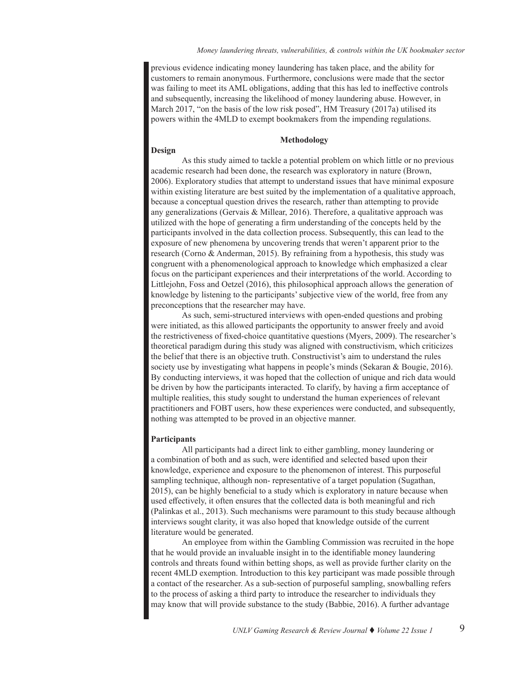previous evidence indicating money laundering has taken place, and the ability for customers to remain anonymous. Furthermore, conclusions were made that the sector was failing to meet its AML obligations, adding that this has led to ineffective controls and subsequently, increasing the likelihood of money laundering abuse. However, in March 2017, "on the basis of the low risk posed", HM Treasury (2017a) utilised its powers within the 4MLD to exempt bookmakers from the impending regulations.

#### **Methodology**

#### **Design**

As this study aimed to tackle a potential problem on which little or no previous academic research had been done, the research was exploratory in nature (Brown, 2006). Exploratory studies that attempt to understand issues that have minimal exposure within existing literature are best suited by the implementation of a qualitative approach, because a conceptual question drives the research, rather than attempting to provide any generalizations (Gervais & Millear, 2016). Therefore, a qualitative approach was utilized with the hope of generating a firm understanding of the concepts held by the participants involved in the data collection process. Subsequently, this can lead to the exposure of new phenomena by uncovering trends that weren't apparent prior to the research (Corno & Anderman, 2015). By refraining from a hypothesis, this study was congruent with a phenomenological approach to knowledge which emphasized a clear focus on the participant experiences and their interpretations of the world. According to Littlejohn, Foss and Oetzel (2016), this philosophical approach allows the generation of knowledge by listening to the participants' subjective view of the world, free from any preconceptions that the researcher may have.

As such, semi-structured interviews with open-ended questions and probing were initiated, as this allowed participants the opportunity to answer freely and avoid the restrictiveness of fixed-choice quantitative questions (Myers, 2009). The researcher's theoretical paradigm during this study was aligned with constructivism, which criticizes the belief that there is an objective truth. Constructivist's aim to understand the rules society use by investigating what happens in people's minds (Sekaran & Bougie, 2016). By conducting interviews, it was hoped that the collection of unique and rich data would be driven by how the participants interacted. To clarify, by having a firm acceptance of multiple realities, this study sought to understand the human experiences of relevant practitioners and FOBT users, how these experiences were conducted, and subsequently, nothing was attempted to be proved in an objective manner.

#### **Participants**

All participants had a direct link to either gambling, money laundering or a combination of both and as such, were identified and selected based upon their knowledge, experience and exposure to the phenomenon of interest. This purposeful sampling technique, although non- representative of a target population (Sugathan, 2015), can be highly beneficial to a study which is exploratory in nature because when used effectively, it often ensures that the collected data is both meaningful and rich (Palinkas et al., 2013). Such mechanisms were paramount to this study because although interviews sought clarity, it was also hoped that knowledge outside of the current literature would be generated.

An employee from within the Gambling Commission was recruited in the hope that he would provide an invaluable insight in to the identifiable money laundering controls and threats found within betting shops, as well as provide further clarity on the recent 4MLD exemption. Introduction to this key participant was made possible through a contact of the researcher. As a sub-section of purposeful sampling, snowballing refers to the process of asking a third party to introduce the researcher to individuals they may know that will provide substance to the study (Babbie, 2016). A further advantage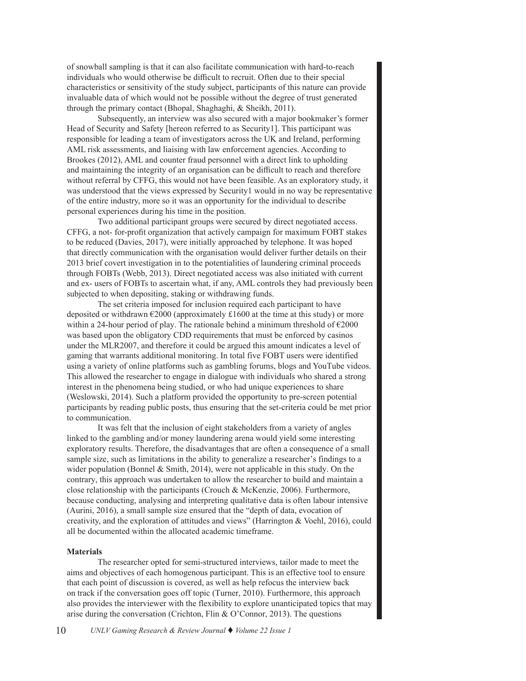of snowball sampling is that it can also facilitate communication with hard-to-reach individuals who would otherwise be difficult to recruit. Often due to their special characteristics or sensitivity of the study subject, participants of this nature can provide invaluable data of which would not be possible without the degree of trust generated through the primary contact (Bhopal, Shaghaghi, & Sheikh, 2011).

Subsequently, an interview was also secured with a major bookmaker's former Head of Security and Safety [hereon referred to as Security1]. This participant was responsible for leading a team of investigators across the UK and Ireland, performing AML risk assessments, and liaising with law enforcement agencies. According to Brookes (2012), AML and counter fraud personnel with a direct link to upholding and maintaining the integrity of an organisation can be difficult to reach and therefore without referral by CFFG, this would not have been feasible. As an exploratory study, it was understood that the views expressed by Security1 would in no way be representative of the entire industry, more so it was an opportunity for the individual to describe personal experiences during his time in the position.

Two additional participant groups were secured by direct negotiated access. CFFG, a not- for-profit organization that actively campaign for maximum FOBT stakes to be reduced (Davies, 2017), were initially approached by telephone. It was hoped that directly communication with the organisation would deliver further details on their 2013 brief covert investigation in to the potentialities of laundering criminal proceeds through FOBTs (Webb, 2013). Direct negotiated access was also initiated with current and ex- users of FOBTs to ascertain what, if any, AML controls they had previously been subjected to when depositing, staking or withdrawing funds.

The set criteria imposed for inclusion required each participant to have deposited or withdrawn €2000 (approximately £1600 at the time at this study) or more within a 24-hour period of play. The rationale behind a minimum threshold of  $\epsilon$ 2000 was based upon the obligatory CDD requirements that must be enforced by casinos under the MLR2007, and therefore it could be argued this amount indicates a level of gaming that warrants additional monitoring. In total five FOBT users were identified using a variety of online platforms such as gambling forums, blogs and YouTube videos. This allowed the researcher to engage in dialogue with individuals who shared a strong interest in the phenomena being studied, or who had unique experiences to share (Weslowski, 2014). Such a platform provided the opportunity to pre-screen potential participants by reading public posts, thus ensuring that the set-criteria could be met prior to communication.

It was felt that the inclusion of eight stakeholders from a variety of angles linked to the gambling and/or money laundering arena would yield some interesting exploratory results. Therefore, the disadvantages that are often a consequence of a small sample size, such as limitations in the ability to generalize a researcher's findings to a wider population (Bonnel & Smith, 2014), were not applicable in this study. On the contrary, this approach was undertaken to allow the researcher to build and maintain a close relationship with the participants (Crouch & McKenzie, 2006). Furthermore, because conducting, analysing and interpreting qualitative data is often labour intensive (Aurini, 2016), a small sample size ensured that the "depth of data, evocation of creativity, and the exploration of attitudes and views" (Harrington & Voehl, 2016), could all be documented within the allocated academic timeframe.

#### **Materials**

The researcher opted for semi-structured interviews, tailor made to meet the aims and objectives of each homogenous participant. This is an effective tool to ensure that each point of discussion is covered, as well as help refocus the interview back on track if the conversation goes off topic (Turner, 2010). Furthermore, this approach also provides the interviewer with the flexibility to explore unanticipated topics that may arise during the conversation (Crichton, Flin & O'Connor, 2013). The questions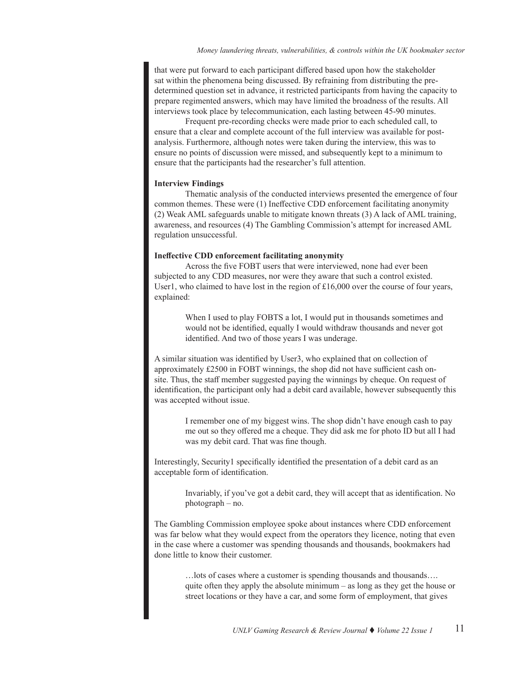that were put forward to each participant differed based upon how the stakeholder sat within the phenomena being discussed. By refraining from distributing the predetermined question set in advance, it restricted participants from having the capacity to prepare regimented answers, which may have limited the broadness of the results. All interviews took place by telecommunication, each lasting between 45-90 minutes.

Frequent pre-recording checks were made prior to each scheduled call, to ensure that a clear and complete account of the full interview was available for postanalysis. Furthermore, although notes were taken during the interview, this was to ensure no points of discussion were missed, and subsequently kept to a minimum to ensure that the participants had the researcher's full attention.

#### **Interview Findings**

Thematic analysis of the conducted interviews presented the emergence of four common themes. These were (1) Ineffective CDD enforcement facilitating anonymity (2) Weak AML safeguards unable to mitigate known threats (3) A lack of AML training, awareness, and resources (4) The Gambling Commission's attempt for increased AML regulation unsuccessful.

#### **Ineffective CDD enforcement facilitating anonymity**

Across the five FOBT users that were interviewed, none had ever been subjected to any CDD measures, nor were they aware that such a control existed. User1, who claimed to have lost in the region of  $£16,000$  over the course of four years, explained:

> When I used to play FOBTS a lot, I would put in thousands sometimes and would not be identified, equally I would withdraw thousands and never got identified. And two of those years I was underage.

A similar situation was identified by User3, who explained that on collection of approximately £2500 in FOBT winnings, the shop did not have sufficient cash onsite. Thus, the staff member suggested paying the winnings by cheque. On request of identification, the participant only had a debit card available, however subsequently this was accepted without issue.

I remember one of my biggest wins. The shop didn't have enough cash to pay me out so they offered me a cheque. They did ask me for photo ID but all I had was my debit card. That was fine though.

Interestingly, Security1 specifically identified the presentation of a debit card as an acceptable form of identification.

> Invariably, if you've got a debit card, they will accept that as identification. No photograph – no.

The Gambling Commission employee spoke about instances where CDD enforcement was far below what they would expect from the operators they licence, noting that even in the case where a customer was spending thousands and thousands, bookmakers had done little to know their customer.

> …lots of cases where a customer is spending thousands and thousands…. quite often they apply the absolute minimum – as long as they get the house or street locations or they have a car, and some form of employment, that gives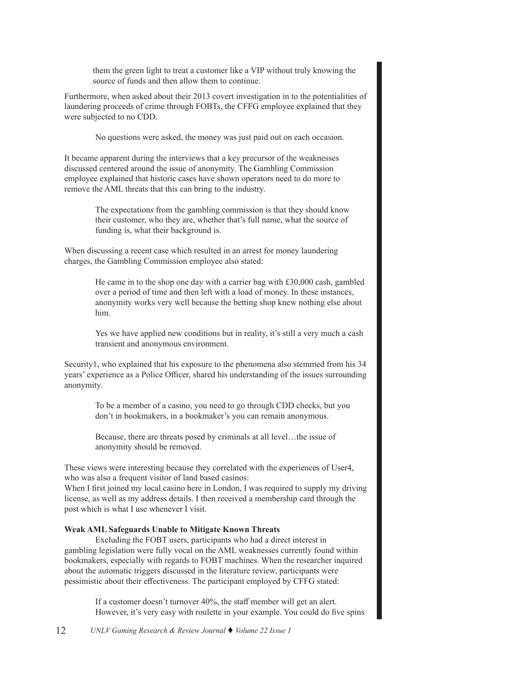them the green light to treat a customer like a VIP without truly knowing the same of finds and them allows the gratings source of funds and then allow them to continue. source of funds and then allow them to continue.

Furthermore, when asked about their 2013 covert investigation in to the potentialities of Furthermore, when asked about their 2013 covert investigation in to the potentialities of laundering proceeds of crime through FOBTs, the CFFG employee explained that they laundering proceeds of crime through FOBTs, the CFFG employee explained that they were subjected to no CDD. were subjected to no CDD.

No questions were asked, the money was just paid out on each occasion. No questions were asked, the money was just paid out on each occasion.

It became apparent during the interviews that a key precursor of the weaknesses It became apparent during the interviews that a key precursor of the weaknesses discussed centered around the issue of anonymity. The Gambling Commission discussed centered around the issue of anonymity. The Gambling Commission employee explained that historic cases have shown operators need to do more to employee explained that historic cases have shown operators need to do more to remove the AML threats that this can bring to the industry. remove the AML threats that this can bring to the industry.

> The expectations from the gambling commission is that they should know The expectations from the gambling commission is that they should know their customer, who they are, whether that's full name, what the source of their customer, who they are, whether that's full name, what the source of funding is, what their background is. funding is, what their background is.

When discussing a recent case which resulted in an arrest for money laundering When discussing a recent case which resulted in an arrest for money laundering charges, the Gambling Commission employee also stated: charges, the Gambling Commission employee also stated:

> He came in to the shop one day with a carrier bag with £30,000 cash, gambled He came in to the shop one day with a carrier bag with £30,000 cash, gambled over a period of time and then left with a load of money. In these instances, over a period of time and then left with a load of money. In these instances, anonymity works very well because the betting shop knew nothing else about anonymity works very well because the betting shop knew nothing else about him. him.

> Yes we have applied new conditions but in reality, it's still a very much a cash Yes we have applied new conditions but in reality, it's still a very much a cash transient and anonymous environment. transient and anonymous environment.

Security1, who explained that his exposure to the phenomena also stemmed from his 34 Security1, who explained that his exposure to the phenomena also stemmed from his 34 years' experience as a Police Officer, shared his understanding of the issues surrounding years' experience as a Police Officer, shared his understanding of the issues surrounding anonymity. anonymity.

> To be a member of a casino, you need to go through CDD checks, but you To be a member of a casino, you need to go through CDD checks, but you don't in bookmakers, in a bookmaker's you can remain anonymous. don't in bookmakers, in a bookmaker's you can remain anonymous.

Because, there are threats posed by criminals at all level…the issue of Because, there are threats posed by criminals at all level…the issue of anonymity should be removed. anonymity should be removed.

These views were interesting because they correlated with the experiences of User4, These views were interesting because they correlated with the experiences of User4, who was also a frequent visitor of land based casinos: who was also a frequent visitor of land based casinos:

When I first joined my local casino here in London, I was required to supply my driving When I first joined my local casino here in London, I was required to supply my driving license, as well as my address details. I then received a membership card through the license, as well as my address details. I then received a membership card through the post which is what I use whenever I visit. post which is what I use whenever I visit.

# **Weak AML Safeguards Unable to Mitigate Known Threats Weak AML Safeguards Unable to Mitigate Known Threats**

 Excluding the FOBT users, participants who had a direct interest in Excluding the FOBT users, participants who had a direct interest in gambling legislation were fully vocal on the AML weaknesses currently found within gambling legislation were fully vocal on the AML weaknesses currently found within bookmakers, especially with regards to FOBT machines. When the researcher inquired bookmakers, especially with regards to FOBT machines. When the researcher inquired about the automatic triggers discussed in the literature review, participants were about the automatic triggers discussed in the literature review, participants were pessimistic about their effectiveness. The participant employed by CFFG stated: pessimistic about their effectiveness. The participant employed by CFFG stated:

> If a customer doesn't turnover 40%, the staff member will get an alert. If a customer doesn't turnover 40%, the staff member will get an alert. However, it's very easy with roulette in your example. You could do five spins However, it's very easy with roulette in your example. You could do five spins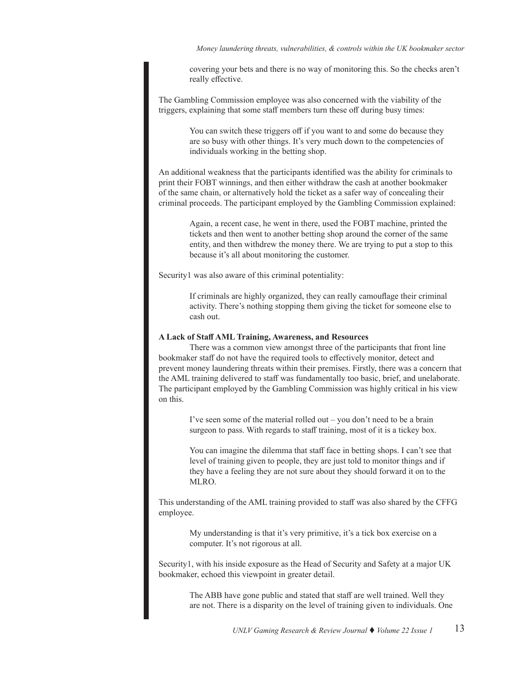*Money laundering threats, vulnerabilities, & controls within the UK bookmaker sector Money laundering threats, vulnerabilities, & controls within the UK bookmaker sector*

covering your bets and there is no way of monitoring this. So the checks aren't really effective.

The Gambling Commission employee was also concerned with the viability of the triggers, explaining that some staff members turn these off during busy times:

> You can switch these triggers off if you want to and some do because they are so busy with other things. It's very much down to the competencies of individuals working in the betting shop.

An additional weakness that the participants identified was the ability for criminals to print their FOBT winnings, and then either withdraw the cash at another bookmaker of the same chain, or alternatively hold the ticket as a safer way of concealing their criminal proceeds. The participant employed by the Gambling Commission explained:

> Again, a recent case, he went in there, used the FOBT machine, printed the tickets and then went to another betting shop around the corner of the same entity, and then withdrew the money there. We are trying to put a stop to this because it's all about monitoring the customer.

Security1 was also aware of this criminal potentiality:

If criminals are highly organized, they can really camouflage their criminal activity. There's nothing stopping them giving the ticket for someone else to cash out.

#### **A Lack of Staff AML Training, Awareness, and Resources**

There was a common view amongst three of the participants that front line bookmaker staff do not have the required tools to effectively monitor, detect and prevent money laundering threats within their premises. Firstly, there was a concern that the AML training delivered to staff was fundamentally too basic, brief, and unelaborate. The participant employed by the Gambling Commission was highly critical in his view on this.

> I've seen some of the material rolled out  $-$  you don't need to be a brain surgeon to pass. With regards to staff training, most of it is a tickey box.

You can imagine the dilemma that staff face in betting shops. I can't see that level of training given to people, they are just told to monitor things and if they have a feeling they are not sure about they should forward it on to the MLRO.

This understanding of the AML training provided to staff was also shared by the CFFG employee.

> My understanding is that it's very primitive, it's a tick box exercise on a computer. It's not rigorous at all.

Security1, with his inside exposure as the Head of Security and Safety at a major UK bookmaker, echoed this viewpoint in greater detail.

> The ABB have gone public and stated that staff are well trained. Well they are not. There is a disparity on the level of training given to individuals. One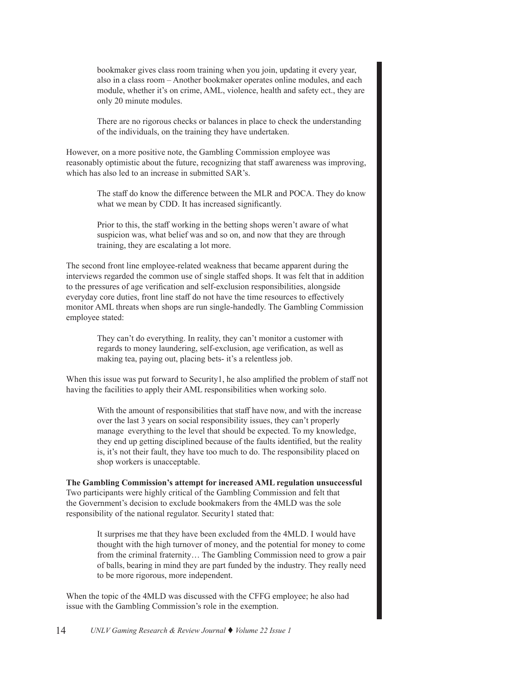bookmaker gives class room training when you join, updating it every year, also in a class room – Another bookmaker operates online modules, and each module, whether it's on crime, AML, violence, health and safety ect., they are only 20 minute modules.

There are no rigorous checks or balances in place to check the understanding of the individuals, on the training they have undertaken.

However, on a more positive note, the Gambling Commission employee was reasonably optimistic about the future, recognizing that staff awareness was improving, which has also led to an increase in submitted SAR's.

> The staff do know the difference between the MLR and POCA. They do know what we mean by CDD. It has increased significantly.

Prior to this, the staff working in the betting shops weren't aware of what suspicion was, what belief was and so on, and now that they are through training, they are escalating a lot more.

The second front line employee-related weakness that became apparent during the interviews regarded the common use of single staffed shops. It was felt that in addition to the pressures of age verification and self-exclusion responsibilities, alongside everyday core duties, front line staff do not have the time resources to effectively monitor AML threats when shops are run single-handedly. The Gambling Commission employee stated:

> They can't do everything. In reality, they can't monitor a customer with regards to money laundering, self-exclusion, age verification, as well as making tea, paying out, placing bets- it's a relentless job.

When this issue was put forward to Security1, he also amplified the problem of staff not having the facilities to apply their AML responsibilities when working solo.

With the amount of responsibilities that staff have now, and with the increase over the last 3 years on social responsibility issues, they can't properly manage everything to the level that should be expected. To my knowledge, they end up getting disciplined because of the faults identified, but the reality is, it's not their fault, they have too much to do. The responsibility placed on shop workers is unacceptable.

**The Gambling Commission's attempt for increased AML regulation unsuccessful** Two participants were highly critical of the Gambling Commission and felt that the Government's decision to exclude bookmakers from the 4MLD was the sole responsibility of the national regulator. Security1 stated that:

> It surprises me that they have been excluded from the 4MLD. I would have thought with the high turnover of money, and the potential for money to come from the criminal fraternity… The Gambling Commission need to grow a pair of balls, bearing in mind they are part funded by the industry. They really need to be more rigorous, more independent.

When the topic of the 4MLD was discussed with the CFFG employee; he also had issue with the Gambling Commission's role in the exemption.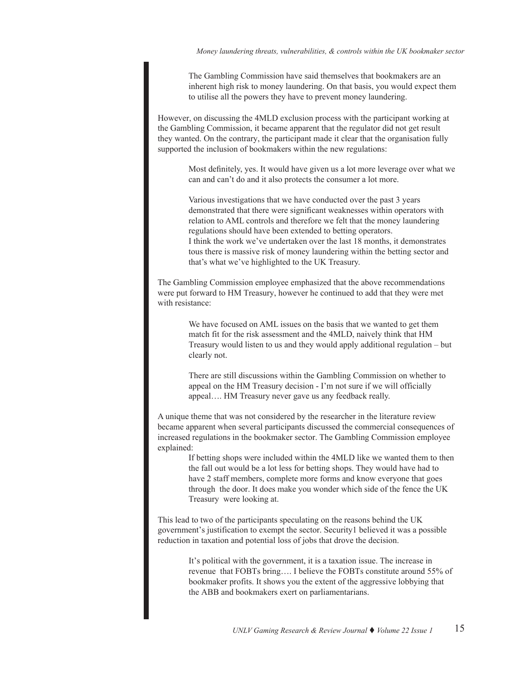The Gambling Commission have said themselves that bookmakers are an inherent high risk to money laundering. On that basis, you would expect them to utilise all the powers they have to prevent money laundering.

However, on discussing the 4MLD exclusion process with the participant working at the Gambling Commission, it became apparent that the regulator did not get result they wanted. On the contrary, the participant made it clear that the organisation fully supported the inclusion of bookmakers within the new regulations:

> Most definitely, yes. It would have given us a lot more leverage over what we can and can't do and it also protects the consumer a lot more.

Various investigations that we have conducted over the past 3 years demonstrated that there were significant weaknesses within operators with relation to AML controls and therefore we felt that the money laundering regulations should have been extended to betting operators. I think the work we've undertaken over the last 18 months, it demonstrates tous there is massive risk of money laundering within the betting sector and that's what we've highlighted to the UK Treasury.

The Gambling Commission employee emphasized that the above recommendations were put forward to HM Treasury, however he continued to add that they were met with resistance:

> We have focused on AML issues on the basis that we wanted to get them match fit for the risk assessment and the 4MLD, naively think that HM Treasury would listen to us and they would apply additional regulation – but clearly not.

There are still discussions within the Gambling Commission on whether to appeal on the HM Treasury decision - I'm not sure if we will officially appeal…. HM Treasury never gave us any feedback really.

A unique theme that was not considered by the researcher in the literature review became apparent when several participants discussed the commercial consequences of increased regulations in the bookmaker sector. The Gambling Commission employee explained:

> If betting shops were included within the 4MLD like we wanted them to then the fall out would be a lot less for betting shops. They would have had to have 2 staff members, complete more forms and know everyone that goes through the door. It does make you wonder which side of the fence the UK Treasury were looking at.

This lead to two of the participants speculating on the reasons behind the UK government's justification to exempt the sector. Security1 believed it was a possible reduction in taxation and potential loss of jobs that drove the decision.

> It's political with the government, it is a taxation issue. The increase in revenue that FOBTs bring…. I believe the FOBTs constitute around 55% of bookmaker profits. It shows you the extent of the aggressive lobbying that the ABB and bookmakers exert on parliamentarians.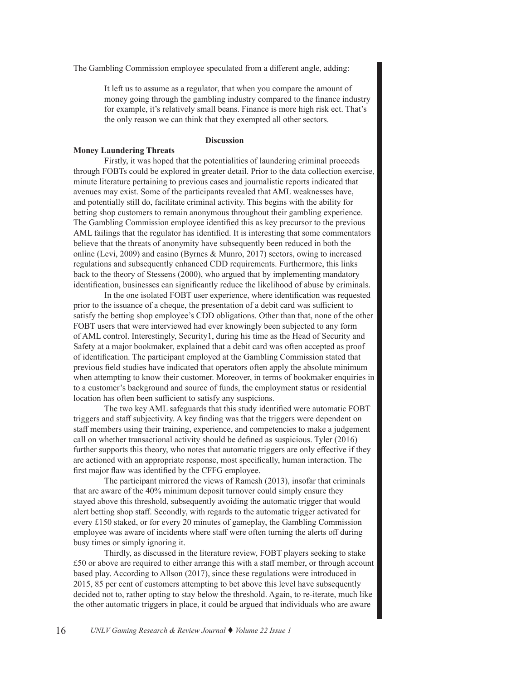The Gambling Commission employee speculated from a different angle, adding:

It left us to assume as a regulator, that when you compare the amount of money going through the gambling industry compared to the finance industry for example, it's relatively small beans. Finance is more high risk ect. That's the only reason we can think that they exempted all other sectors.

### **Discussion**

#### **Money Laundering Threats**

Firstly, it was hoped that the potentialities of laundering criminal proceeds through FOBTs could be explored in greater detail. Prior to the data collection exercise, minute literature pertaining to previous cases and journalistic reports indicated that avenues may exist. Some of the participants revealed that AML weaknesses have, and potentially still do, facilitate criminal activity. This begins with the ability for betting shop customers to remain anonymous throughout their gambling experience. The Gambling Commission employee identified this as key precursor to the previous AML failings that the regulator has identified. It is interesting that some commentators believe that the threats of anonymity have subsequently been reduced in both the online (Levi, 2009) and casino (Byrnes & Munro, 2017) sectors, owing to increased regulations and subsequently enhanced CDD requirements. Furthermore, this links back to the theory of Stessens (2000), who argued that by implementing mandatory identification, businesses can significantly reduce the likelihood of abuse by criminals.

In the one isolated FOBT user experience, where identification was requested prior to the issuance of a cheque, the presentation of a debit card was sufficient to satisfy the betting shop employee's CDD obligations. Other than that, none of the other FOBT users that were interviewed had ever knowingly been subjected to any form of AML control. Interestingly, Security1, during his time as the Head of Security and Safety at a major bookmaker, explained that a debit card was often accepted as proof of identification. The participant employed at the Gambling Commission stated that previous field studies have indicated that operators often apply the absolute minimum when attempting to know their customer. Moreover, in terms of bookmaker enquiries in to a customer's background and source of funds, the employment status or residential location has often been sufficient to satisfy any suspicions.

The two key AML safeguards that this study identified were automatic FOBT triggers and staff subjectivity. A key finding was that the triggers were dependent on staff members using their training, experience, and competencies to make a judgement call on whether transactional activity should be defined as suspicious. Tyler (2016) further supports this theory, who notes that automatic triggers are only effective if they are actioned with an appropriate response, most specifically, human interaction. The first major flaw was identified by the CFFG employee.

The participant mirrored the views of Ramesh (2013), insofar that criminals that are aware of the 40% minimum deposit turnover could simply ensure they stayed above this threshold, subsequently avoiding the automatic trigger that would alert betting shop staff. Secondly, with regards to the automatic trigger activated for every £150 staked, or for every 20 minutes of gameplay, the Gambling Commission employee was aware of incidents where staff were often turning the alerts off during busy times or simply ignoring it.

Thirdly, as discussed in the literature review, FOBT players seeking to stake £50 or above are required to either arrange this with a staff member, or through account based play. According to Allson (2017), since these regulations were introduced in 2015, 85 per cent of customers attempting to bet above this level have subsequently decided not to, rather opting to stay below the threshold. Again, to re-iterate, much like the other automatic triggers in place, it could be argued that individuals who are aware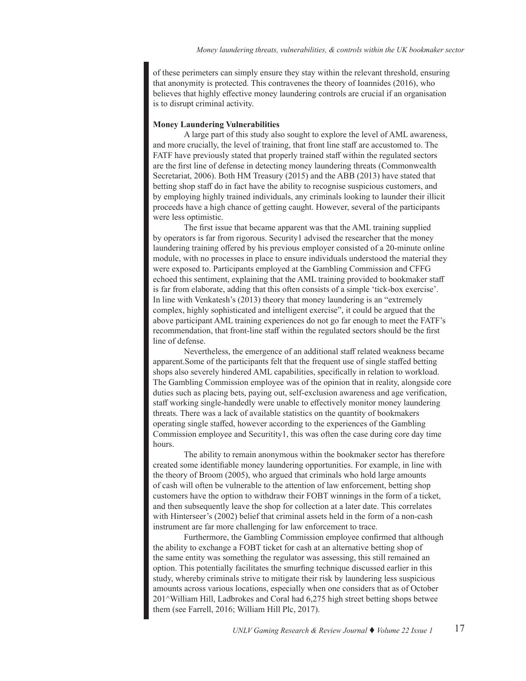of these perimeters can simply ensure they stay within the relevant threshold, ensuring that anonymity is protected. This contravenes the theory of Ioannides (2016), who believes that highly effective money laundering controls are crucial if an organisation is to disrupt criminal activity.

# **Money Laundering Vulnerabilities**

A large part of this study also sought to explore the level of AML awareness, and more crucially, the level of training, that front line staff are accustomed to. The FATF have previously stated that properly trained staff within the regulated sectors are the first line of defense in detecting money laundering threats (Commonwealth Secretariat, 2006). Both HM Treasury (2015) and the ABB (2013) have stated that betting shop staff do in fact have the ability to recognise suspicious customers, and by employing highly trained individuals, any criminals looking to launder their illicit proceeds have a high chance of getting caught. However, several of the participants were less optimistic.

The first issue that became apparent was that the AML training supplied by operators is far from rigorous. Security1 advised the researcher that the money laundering training offered by his previous employer consisted of a 20-minute online module, with no processes in place to ensure individuals understood the material they were exposed to. Participants employed at the Gambling Commission and CFFG echoed this sentiment, explaining that the AML training provided to bookmaker staff is far from elaborate, adding that this often consists of a simple 'tick-box exercise'. In line with Venkatesh's (2013) theory that money laundering is an "extremely complex, highly sophisticated and intelligent exercise", it could be argued that the above participant AML training experiences do not go far enough to meet the FATF's recommendation, that front-line staff within the regulated sectors should be the first line of defense.

Nevertheless, the emergence of an additional staff related weakness became apparent.Some of the participants felt that the frequent use of single staffed betting shops also severely hindered AML capabilities, specifically in relation to workload. The Gambling Commission employee was of the opinion that in reality, alongside core duties such as placing bets, paying out, self-exclusion awareness and age verification, staff working single-handedly were unable to effectively monitor money laundering threats. There was a lack of available statistics on the quantity of bookmakers operating single staffed, however according to the experiences of the Gambling Commission employee and Securitity1, this was often the case during core day time hours.

The ability to remain anonymous within the bookmaker sector has therefore created some identifiable money laundering opportunities. For example, in line with the theory of Broom (2005), who argued that criminals who hold large amounts of cash will often be vulnerable to the attention of law enforcement, betting shop customers have the option to withdraw their FOBT winnings in the form of a ticket, and then subsequently leave the shop for collection at a later date. This correlates with Hinterseer's (2002) belief that criminal assets held in the form of a non-cash instrument are far more challenging for law enforcement to trace.

Furthermore, the Gambling Commission employee confirmed that although the ability to exchange a FOBT ticket for cash at an alternative betting shop of the same entity was something the regulator was assessing, this still remained an option. This potentially facilitates the smurfing technique discussed earlier in this study, whereby criminals strive to mitigate their risk by laundering less suspicious amounts across various locations, especially when one considers that as of October 201^William Hill, Ladbrokes and Coral had 6,275 high street betting shops betwee them (see Farrell, 2016; William Hill Plc, 2017).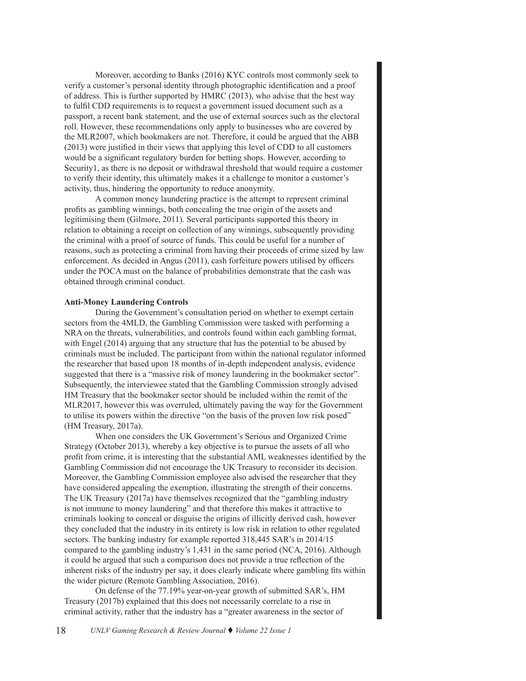Moreover, according to Banks (2016) KYC controls most commonly seek to verify a customer's personal identity through photographic identification and a proof of address. This is further supported by HMRC (2013), who advise that the best way to fulfil CDD requirements is to request a government issued document such as a passport, a recent bank statement, and the use of external sources such as the electoral roll. However, these recommendations only apply to businesses who are covered by the MLR2007, which bookmakers are not. Therefore, it could be argued that the ABB (2013) were justified in their views that applying this level of CDD to all customers would be a significant regulatory burden for betting shops. However, according to Security1, as there is no deposit or withdrawal threshold that would require a customer to verify their identity, this ultimately makes it a challenge to monitor a customer's activity, thus, hindering the opportunity to reduce anonymity.

A common money laundering practice is the attempt to represent criminal profits as gambling winnings, both concealing the true origin of the assets and legitimising them (Gilmore, 2011). Several participants supported this theory in relation to obtaining a receipt on collection of any winnings, subsequently providing the criminal with a proof of source of funds. This could be useful for a number of reasons, such as protecting a criminal from having their proceeds of crime sized by law enforcement. As decided in Angus (2011), cash forfeiture powers utilised by officers under the POCA must on the balance of probabilities demonstrate that the cash was obtained through criminal conduct.

# **Anti-Money Laundering Controls**

During the Government's consultation period on whether to exempt certain sectors from the 4MLD, the Gambling Commission were tasked with performing a NRA on the threats, vulnerabilities, and controls found within each gambling format, with Engel (2014) arguing that any structure that has the potential to be abused by criminals must be included. The participant from within the national regulator informed the researcher that based upon 18 months of in-depth independent analysis, evidence suggested that there is a "massive risk of money laundering in the bookmaker sector". Subsequently, the interviewee stated that the Gambling Commission strongly advised HM Treasury that the bookmaker sector should be included within the remit of the MLR2017, however this was overruled, ultimately paving the way for the Government to utilise its powers within the directive "on the basis of the proven low risk posed" (HM Treasury, 2017a).

When one considers the UK Government's Serious and Organized Crime Strategy (October 2013), whereby a key objective is to pursue the assets of all who profit from crime, it is interesting that the substantial AML weaknesses identified by the Gambling Commission did not encourage the UK Treasury to reconsider its decision. Moreover, the Gambling Commission employee also advised the researcher that they have considered appealing the exemption, illustrating the strength of their concerns. The UK Treasury (2017a) have themselves recognized that the "gambling industry is not immune to money laundering" and that therefore this makes it attractive to criminals looking to conceal or disguise the origins of illicitly derived cash, however they concluded that the industry in its entirety is low risk in relation to other regulated sectors. The banking industry for example reported 318,445 SAR's in 2014/15 compared to the gambling industry's 1,431 in the same period (NCA, 2016). Although it could be argued that such a comparison does not provide a true reflection of the inherent risks of the industry per say, it does clearly indicate where gambling fits within the wider picture (Remote Gambling Association, 2016).

On defense of the 77.19% year-on-year growth of submitted SAR's, HM Treasury (2017b) explained that this does not necessarily correlate to a rise in criminal activity, rather that the industry has a "greater awareness in the sector of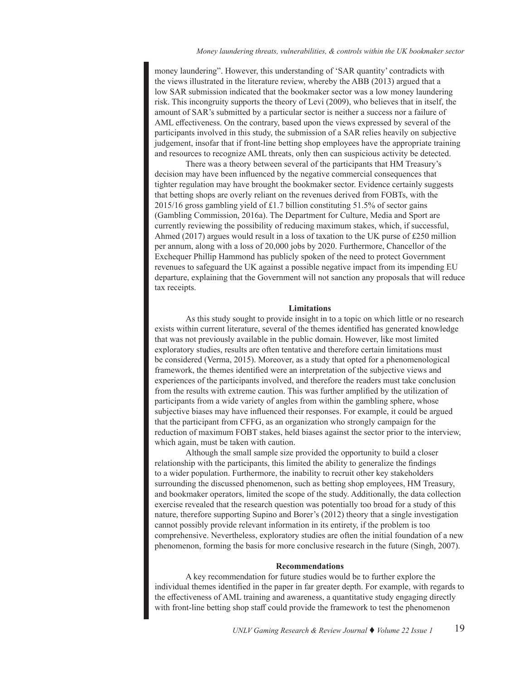money laundering". However, this understanding of 'SAR quantity' contradicts with the views illustrated in the literature review, whereby the ABB (2013) argued that a low SAR submission indicated that the bookmaker sector was a low money laundering risk. This incongruity supports the theory of Levi (2009), who believes that in itself, the amount of SAR's submitted by a particular sector is neither a success nor a failure of AML effectiveness. On the contrary, based upon the views expressed by several of the participants involved in this study, the submission of a SAR relies heavily on subjective judgement, insofar that if front-line betting shop employees have the appropriate training and resources to recognize AML threats, only then can suspicious activity be detected.

There was a theory between several of the participants that HM Treasury's decision may have been influenced by the negative commercial consequences that tighter regulation may have brought the bookmaker sector. Evidence certainly suggests that betting shops are overly reliant on the revenues derived from FOBTs, with the 2015/16 gross gambling yield of £1.7 billion constituting 51.5% of sector gains (Gambling Commission, 2016a). The Department for Culture, Media and Sport are currently reviewing the possibility of reducing maximum stakes, which, if successful, Ahmed (2017) argues would result in a loss of taxation to the UK purse of £250 million per annum, along with a loss of 20,000 jobs by 2020. Furthermore, Chancellor of the Exchequer Phillip Hammond has publicly spoken of the need to protect Government revenues to safeguard the UK against a possible negative impact from its impending EU departure, explaining that the Government will not sanction any proposals that will reduce tax receipts.

#### **Limitations**

As this study sought to provide insight in to a topic on which little or no research exists within current literature, several of the themes identified has generated knowledge that was not previously available in the public domain. However, like most limited exploratory studies, results are often tentative and therefore certain limitations must be considered (Verma, 2015). Moreover, as a study that opted for a phenomenological framework, the themes identified were an interpretation of the subjective views and experiences of the participants involved, and therefore the readers must take conclusion from the results with extreme caution. This was further amplified by the utilization of participants from a wide variety of angles from within the gambling sphere, whose subjective biases may have influenced their responses. For example, it could be argued that the participant from CFFG, as an organization who strongly campaign for the reduction of maximum FOBT stakes, held biases against the sector prior to the interview, which again, must be taken with caution.

Although the small sample size provided the opportunity to build a closer relationship with the participants, this limited the ability to generalize the findings to a wider population. Furthermore, the inability to recruit other key stakeholders surrounding the discussed phenomenon, such as betting shop employees, HM Treasury, and bookmaker operators, limited the scope of the study. Additionally, the data collection exercise revealed that the research question was potentially too broad for a study of this nature, therefore supporting Supino and Borer's (2012) theory that a single investigation cannot possibly provide relevant information in its entirety, if the problem is too comprehensive. Nevertheless, exploratory studies are often the initial foundation of a new phenomenon, forming the basis for more conclusive research in the future (Singh, 2007).

#### **Recommendations**

A key recommendation for future studies would be to further explore the individual themes identified in the paper in far greater depth. For example, with regards to the effectiveness of AML training and awareness, a quantitative study engaging directly with front-line betting shop staff could provide the framework to test the phenomenon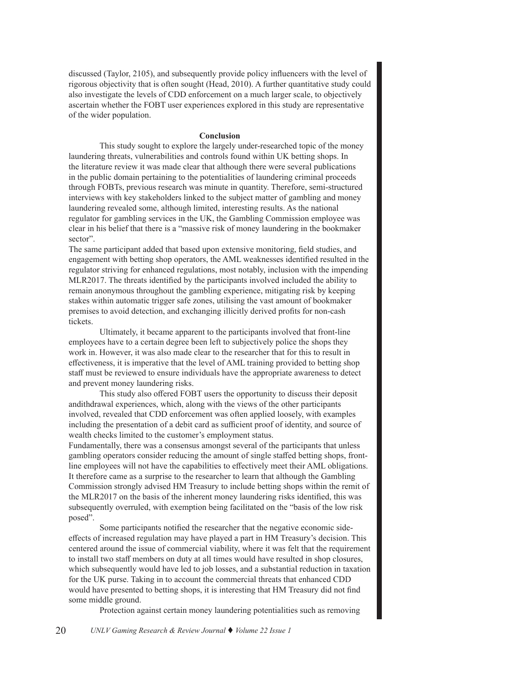discussed (Taylor, 2105), and subsequently provide policy influencers with the level of rigorous objectivity that is often sought (Head, 2010). A further quantitative study could also investigate the levels of CDD enforcement on a much larger scale, to objectively ascertain whether the FOBT user experiences explored in this study are representative of the wider population.

#### **Conclusion**

This study sought to explore the largely under-researched topic of the money laundering threats, vulnerabilities and controls found within UK betting shops. In the literature review it was made clear that although there were several publications in the public domain pertaining to the potentialities of laundering criminal proceeds through FOBTs, previous research was minute in quantity. Therefore, semi-structured interviews with key stakeholders linked to the subject matter of gambling and money laundering revealed some, although limited, interesting results. As the national regulator for gambling services in the UK, the Gambling Commission employee was clear in his belief that there is a "massive risk of money laundering in the bookmaker sector".

The same participant added that based upon extensive monitoring, field studies, and engagement with betting shop operators, the AML weaknesses identified resulted in the regulator striving for enhanced regulations, most notably, inclusion with the impending MLR2017. The threats identified by the participants involved included the ability to remain anonymous throughout the gambling experience, mitigating risk by keeping stakes within automatic trigger safe zones, utilising the vast amount of bookmaker premises to avoid detection, and exchanging illicitly derived profits for non-cash tickets.

Ultimately, it became apparent to the participants involved that front-line employees have to a certain degree been left to subjectively police the shops they work in. However, it was also made clear to the researcher that for this to result in effectiveness, it is imperative that the level of AML training provided to betting shop staff must be reviewed to ensure individuals have the appropriate awareness to detect and prevent money laundering risks.

This study also offered FOBT users the opportunity to discuss their deposit andithdrawal experiences, which, along with the views of the other participants involved, revealed that CDD enforcement was often applied loosely, with examples including the presentation of a debit card as sufficient proof of identity, and source of wealth checks limited to the customer's employment status.

Fundamentally, there was a consensus amongst several of the participants that unless gambling operators consider reducing the amount of single staffed betting shops, frontline employees will not have the capabilities to effectively meet their AML obligations. It therefore came as a surprise to the researcher to learn that although the Gambling Commission strongly advised HM Treasury to include betting shops within the remit of the MLR2017 on the basis of the inherent money laundering risks identified, this was subsequently overruled, with exemption being facilitated on the "basis of the low risk posed".

Some participants notified the researcher that the negative economic sideeffects of increased regulation may have played a part in HM Treasury's decision. This centered around the issue of commercial viability, where it was felt that the requirement to install two staff members on duty at all times would have resulted in shop closures, which subsequently would have led to job losses, and a substantial reduction in taxation for the UK purse. Taking in to account the commercial threats that enhanced CDD would have presented to betting shops, it is interesting that HM Treasury did not find some middle ground.

Protection against certain money laundering potentialities such as removing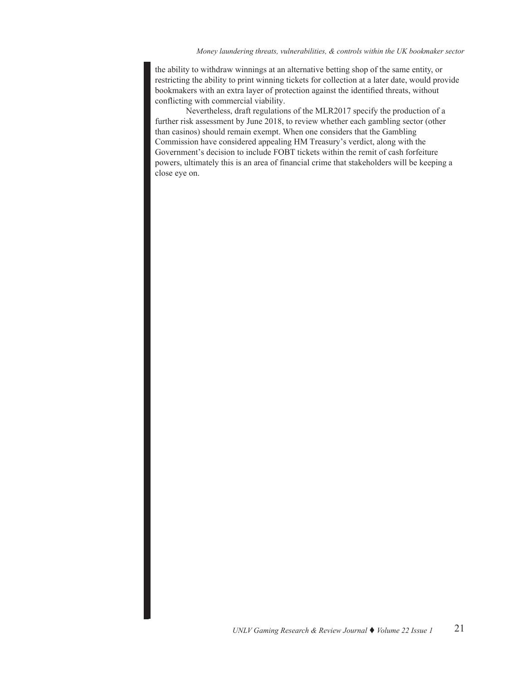the ability to withdraw winnings at an alternative betting shop of the same entity, or restricting the ability to print winning tickets for collection at a later date, would provide bookmakers with an extra layer of protection against the identified threats, without conflicting with commercial viability.

Nevertheless, draft regulations of the MLR2017 specify the production of a further risk assessment by June 2018, to review whether each gambling sector (other than casinos) should remain exempt. When one considers that the Gambling Commission have considered appealing HM Treasury's verdict, along with the Government's decision to include FOBT tickets within the remit of cash forfeiture powers, ultimately this is an area of financial crime that stakeholders will be keeping a close eye on.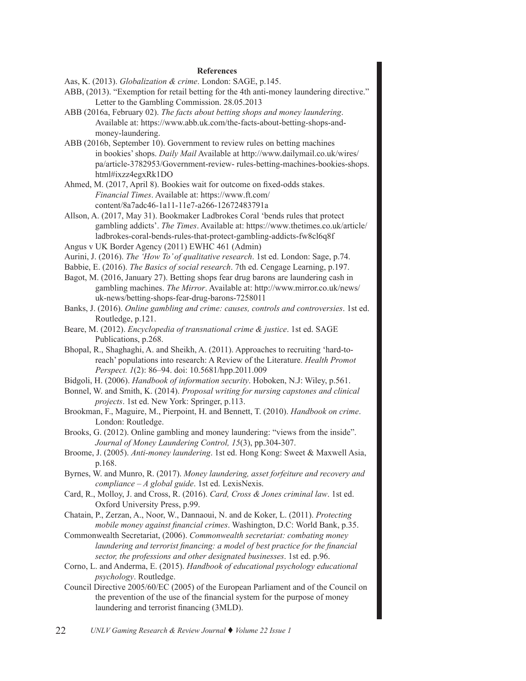#### **References**

Aas, K. (2013). *Globalization & crime*. London: SAGE, p.145.

- ABB, (2013). "Exemption for retail betting for the 4th anti-money laundering directive." Letter to the Gambling Commission. 28.05.2013
- ABB (2016a, February 02). *The facts about betting shops and money laundering*. Available at: https://www.abb.uk.com/the-facts-about-betting-shops-andmoney-laundering.
- ABB (2016b, September 10). Government to review rules on betting machines in bookies' shops. *Daily Mail* Available at http://www.dailymail.co.uk/wires/ pa/article-3782953/Government-review- rules-betting-machines-bookies-shops. html#ixzz4egxRk1DO
- Ahmed, M. (2017, April 8). Bookies wait for outcome on fixed-odds stakes. *Financial Times*. Available at: https://www.ft.com/ content/8a7adc46-1a11-11e7-a266-12672483791a
- Allson, A. (2017, May 31). Bookmaker Ladbrokes Coral 'bends rules that protect gambling addicts'. *The Times*. Available at: https://www.thetimes.co.uk/article/ ladbrokes-coral-bends-rules-that-protect-gambling-addicts-fw8cl6q8f
- Angus v UK Border Agency (2011) EWHC 461 (Admin)
- Aurini, J. (2016). *The 'How To' of qualitative research*. 1st ed. London: Sage, p.74.
- Babbie, E. (2016). *The Basics of social research*. 7th ed. Cengage Learning, p.197.
- Bagot, M. (2016, January 27). Betting shops fear drug barons are laundering cash in gambling machines. *The Mirror*. Available at: http://www.mirror.co.uk/news/ uk-news/betting-shops-fear-drug-barons-7258011
- Banks, J. (2016). *Online gambling and crime: causes, controls and controversies*. 1st ed. Routledge, p.121.
- Beare, M. (2012). *Encyclopedia of transnational crime & justice*. 1st ed. SAGE Publications, p.268.
- Bhopal, R., Shaghaghi, A. and Sheikh, A. (2011). Approaches to recruiting 'hard-toreach' populations into research: A Review of the Literature. *Health Promot Perspect. 1*(2): 86–94. doi: 10.5681/hpp.2011.009
- Bidgoli, H. (2006). *Handbook of information security*. Hoboken, N.J: Wiley, p.561.
- Bonnel, W. and Smith, K. (2014). *Proposal writing for nursing capstones and clinical projects*. 1st ed. New York: Springer, p.113.
- Brookman, F., Maguire, M., Pierpoint, H. and Bennett, T. (2010). *Handbook on crime*. London: Routledge.
- Brooks, G. (2012). Online gambling and money laundering: "views from the inside". *Journal of Money Laundering Control, 15*(3), pp.304-307.
- Broome, J. (2005). *Anti-money laundering*. 1st ed. Hong Kong: Sweet & Maxwell Asia, p.168.
- Byrnes, W. and Munro, R. (2017). *Money laundering, asset forfeiture and recovery and compliance – A global guide*. 1st ed. LexisNexis.
- Card, R., Molloy, J. and Cross, R. (2016). *Card, Cross & Jones criminal law*. 1st ed. Oxford University Press, p.99.
- Chatain, P., Zerzan, A., Noor, W., Dannaoui, N. and de Koker, L. (2011). *Protecting mobile money against financial crimes*. Washington, D.C: World Bank, p.35.
- Commonwealth Secretariat, (2006). *Commonwealth secretariat: combating money laundering and terrorist financing: a model of best practice for the financial sector, the professions and other designated businesses*. 1st ed. p.96.
- Corno, L. and Anderma, E. (2015). *Handbook of educational psychology educational psychology*. Routledge.
- Council Directive 2005/60/EC (2005) of the European Parliament and of the Council on the prevention of the use of the financial system for the purpose of money laundering and terrorist financing (3MLD).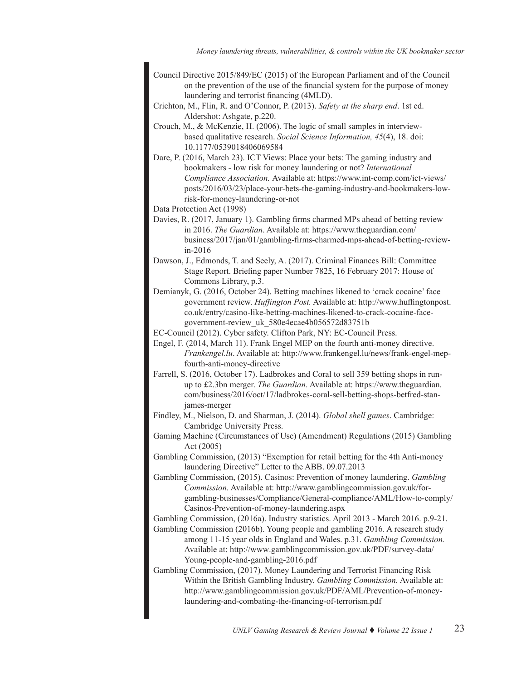- Council Directive 2015/849/EC (2015) of the European Parliament and of the Council on the prevention of the use of the financial system for the purpose of money laundering and terrorist financing (4MLD).
- Crichton, M., Flin, R. and O'Connor, P. (2013). *Safety at the sharp end*. 1st ed. Aldershot: Ashgate, p.220.
- Crouch, M., & McKenzie, H. (2006). The logic of small samples in interviewbased qualitative research. *Social Science Information, 45*(4), 18. doi: 10.1177/0539018406069584
- Dare, P. (2016, March 23). ICT Views: Place your bets: The gaming industry and bookmakers - low risk for money laundering or not? *International Compliance Association.* Available at: https://www.int-comp.com/ict-views/ posts/2016/03/23/place-your-bets-the-gaming-industry-and-bookmakers-lowrisk-for-money-laundering-or-not
- Data Protection Act (1998)
- Davies, R. (2017, January 1). Gambling firms charmed MPs ahead of betting review in 2016. *The Guardian*. Available at: https://www.theguardian.com/ business/2017/jan/01/gambling-firms-charmed-mps-ahead-of-betting-reviewin-2016
- Dawson, J., Edmonds, T. and Seely, A. (2017). Criminal Finances Bill: Committee Stage Report. Briefing paper Number 7825, 16 February 2017: House of Commons Library, p.3.
- Demianyk, G. (2016, October 24). Betting machines likened to 'crack cocaine' face government review. *Huffington Post.* Available at: http://www.huffingtonpost. co.uk/entry/casino-like-betting-machines-likened-to-crack-cocaine-facegovernment-review\_uk\_580e4ecae4b056572d83751b
- EC-Council (2012). Cyber safety. Clifton Park, NY: EC-Council Press.
- Engel, F. (2014, March 11). Frank Engel MEP on the fourth anti-money directive. *Frankengel.lu*. Available at: http://www.frankengel.lu/news/frank-engel-mepfourth-anti-money-directive
- Farrell, S. (2016, October 17). Ladbrokes and Coral to sell 359 betting shops in runup to £2.3bn merger. *The Guardian*. Available at: https://www.theguardian. com/business/2016/oct/17/ladbrokes-coral-sell-betting-shops-betfred-stanjames-merger
- Findley, M., Nielson, D. and Sharman, J. (2014). *Global shell games*. Cambridge: Cambridge University Press.
- Gaming Machine (Circumstances of Use) (Amendment) Regulations (2015) Gambling Act (2005)
- Gambling Commission, (2013) "Exemption for retail betting for the 4th Anti-money laundering Directive" Letter to the ABB. 09.07.2013
- Gambling Commission, (2015). Casinos: Prevention of money laundering. *Gambling Commission.* Available at: http://www.gamblingcommission.gov.uk/forgambling-businesses/Compliance/General-compliance/AML/How-to-comply/ Casinos-Prevention-of-money-laundering.aspx
- Gambling Commission, (2016a). Industry statistics. April 2013 March 2016. p.9-21.
- Gambling Commission (2016b). Young people and gambling 2016. A research study among 11-15 year olds in England and Wales. p.31. *Gambling Commission.* Available at: http://www.gamblingcommission.gov.uk/PDF/survey-data/ Young-people-and-gambling-2016.pdf
- Gambling Commission, (2017). Money Laundering and Terrorist Financing Risk Within the British Gambling Industry. *Gambling Commission.* Available at: http://www.gamblingcommission.gov.uk/PDF/AML/Prevention-of-moneylaundering-and-combating-the-financing-of-terrorism.pdf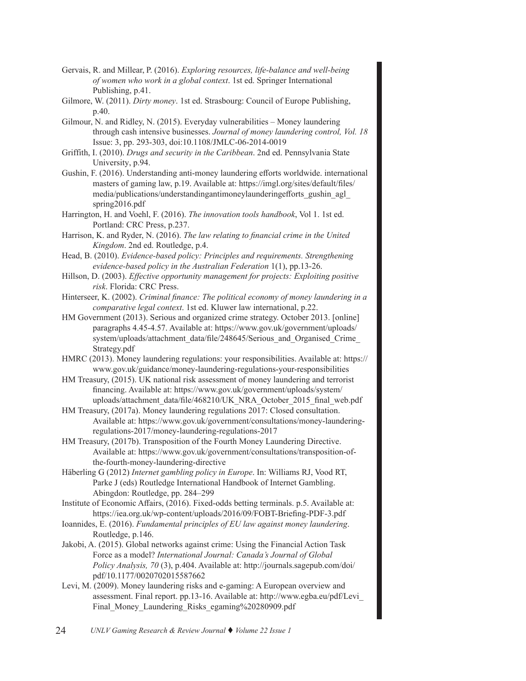- Gervais, R. and Millear, P. (2016). *Exploring resources, life-balance and well-being of women who work in a global context*. 1st ed. Springer International Publishing, p.41.
- Gilmore, W. (2011). *Dirty money*. 1st ed. Strasbourg: Council of Europe Publishing, p.40.
- Gilmour, N. and Ridley, N. (2015). Everyday vulnerabilities Money laundering through cash intensive businesses. *Journal of money laundering control, Vol. 18* Issue: 3, pp. 293-303, doi:10.1108/JMLC-06-2014-0019
- Griffith, I. (2010). *Drugs and security in the Caribbean*. 2nd ed. Pennsylvania State University, p.94.
- Gushin, F. (2016). Understanding anti-money laundering efforts worldwide. international masters of gaming law, p.19. Available at: https://imgl.org/sites/default/files/ media/publications/understandingantimoneylaunderingefforts\_gushin\_agl\_ spring2016.pdf
- Harrington, H. and Voehl, F. (2016). *The innovation tools handbook*, Vol 1. 1st ed. Portland: CRC Press, p.237.
- Harrison, K. and Ryder, N. (2016). *The law relating to financial crime in the United Kingdom*. 2nd ed. Routledge, p.4.
- Head, B. (2010). *Evidence-based policy: Principles and requirements. Strengthening evidence-based policy in the Australian Federation* 1(1), pp.13-26.
- Hillson, D. (2003). *Effective opportunity management for projects: Exploiting positive risk*. Florida: CRC Press.
- Hinterseer, K. (2002). *Criminal finance: The political economy of money laundering in a comparative legal context*. 1st ed. Kluwer law international, p.22.
- HM Government (2013). Serious and organized crime strategy. October 2013. [online] paragraphs 4.45-4.57. Available at: https://www.gov.uk/government/uploads/ system/uploads/attachment\_data/file/248645/Serious\_and\_Organised\_Crime Strategy.pdf
- HMRC (2013). Money laundering regulations: your responsibilities. Available at: https:// www.gov.uk/guidance/money-laundering-regulations-your-responsibilities
- HM Treasury, (2015). UK national risk assessment of money laundering and terrorist financing. Available at: https://www.gov.uk/government/uploads/system/ uploads/attachment\_data/file/468210/UK\_NRA\_October\_2015\_final\_web.pdf
- HM Treasury, (2017a). Money laundering regulations 2017: Closed consultation. Available at: https://www.gov.uk/government/consultations/money-launderingregulations-2017/money-laundering-regulations-2017
- HM Treasury, (2017b). Transposition of the Fourth Money Laundering Directive. Available at: https://www.gov.uk/government/consultations/transposition-ofthe-fourth-money-laundering-directive
- Häberling G (2012) *Internet gambling policy in Europe*. In: Williams RJ, Vood RT, Parke J (eds) Routledge International Handbook of Internet Gambling. Abingdon: Routledge, pp. 284–299
- Institute of Economic Affairs, (2016). Fixed-odds betting terminals. p.5. Available at: https://iea.org.uk/wp-content/uploads/2016/09/FOBT-Briefing-PDF-3.pdf
- Ioannides, E. (2016). *Fundamental principles of EU law against money laundering*. Routledge, p.146.
- Jakobi, A. (2015). Global networks against crime: Using the Financial Action Task Force as a model? *International Journal: Canada's Journal of Global Policy Analysis, 70* (3), p.404. Available at: http://journals.sagepub.com/doi/ pdf/10.1177/0020702015587662
- Levi, M. (2009). Money laundering risks and e-gaming: A European overview and assessment. Final report. pp.13-16. Available at: http://www.egba.eu/pdf/Levi\_ Final Money Laundering Risks egaming%20280909.pdf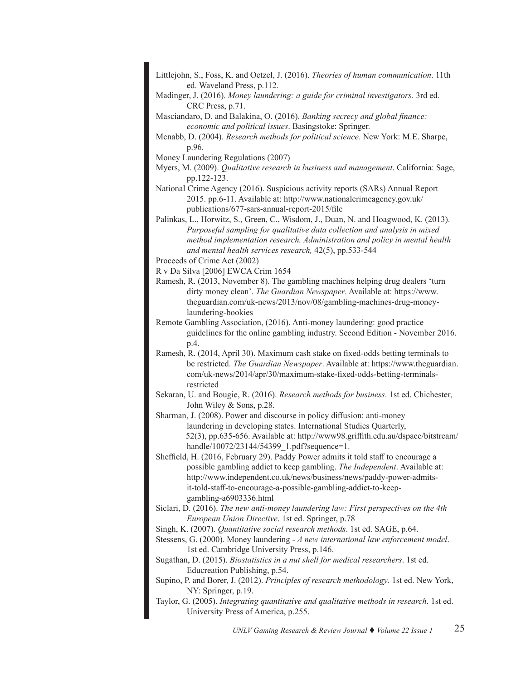- Littlejohn, S., Foss, K. and Oetzel, J. (2016). *Theories of human communication*. 11th ed. Waveland Press, p.112.
- Madinger, J. (2016). *Money laundering: a guide for criminal investigators*. 3rd ed. CRC Press, p.71.
- Masciandaro, D. and Balakina, O. (2016). *Banking secrecy and global finance: economic and political issues*. Basingstoke: Springer.
- Mcnabb, D. (2004). *Research methods for political science*. New York: M.E. Sharpe, p.96.
- Money Laundering Regulations (2007)
- Myers, M. (2009). *Qualitative research in business and management*. California: Sage, pp.122-123.
- National Crime Agency (2016). Suspicious activity reports (SARs) Annual Report 2015. pp.6-11. Available at: http://www.nationalcrimeagency.gov.uk/ publications/677-sars-annual-report-2015/file
- Palinkas, L., Horwitz, S., Green, C., Wisdom, J., Duan, N. and Hoagwood, K. (2013). *Purposeful sampling for qualitative data collection and analysis in mixed method implementation research. Administration and policy in mental health and mental health services research,* 42(5), pp.533-544

Proceeds of Crime Act (2002)

- R v Da Silva [2006] EWCA Crim 1654
- Ramesh, R. (2013, November 8). The gambling machines helping drug dealers 'turn dirty money clean'. *The Guardian Newspaper*. Available at: https://www. theguardian.com/uk-news/2013/nov/08/gambling-machines-drug-moneylaundering-bookies
- Remote Gambling Association, (2016). Anti-money laundering: good practice guidelines for the online gambling industry. Second Edition - November 2016. p.4.
- Ramesh, R. (2014, April 30). Maximum cash stake on fixed-odds betting terminals to be restricted. *The Guardian Newspaper*. Available at: https://www.theguardian. com/uk-news/2014/apr/30/maximum-stake-fixed-odds-betting-terminalsrestricted
- Sekaran, U. and Bougie, R. (2016). *Research methods for business*. 1st ed. Chichester, John Wiley & Sons, p.28.
- Sharman, J. (2008). Power and discourse in policy diffusion: anti-money laundering in developing states. International Studies Quarterly, 52(3), pp.635-656. Available at: http://www98.griffith.edu.au/dspace/bitstream/ handle/10072/23144/54399 1.pdf?sequence=1.
- Sheffield, H. (2016, February 29). Paddy Power admits it told staff to encourage a possible gambling addict to keep gambling. *The Independent*. Available at: http://www.independent.co.uk/news/business/news/paddy-power-admitsit-told-staff-to-encourage-a-possible-gambling-addict-to-keepgambling-a6903336.html
- Siclari, D. (2016). *The new anti-money laundering law: First perspectives on the 4th European Union Directive*. 1st ed. Springer, p.78
- Singh, K. (2007). *Quantitative social research methods*. 1st ed. SAGE, p.64.
- Stessens, G. (2000). Money laundering *A new international law enforcement model*. 1st ed. Cambridge University Press, p.146.
- Sugathan, D. (2015). *Biostatistics in a nut shell for medical researchers*. 1st ed. Educreation Publishing, p.54.
- Supino, P. and Borer, J. (2012). *Principles of research methodology*. 1st ed. New York, NY: Springer, p.19.
- Taylor, G. (2005). *Integrating quantitative and qualitative methods in research*. 1st ed. University Press of America, p.255.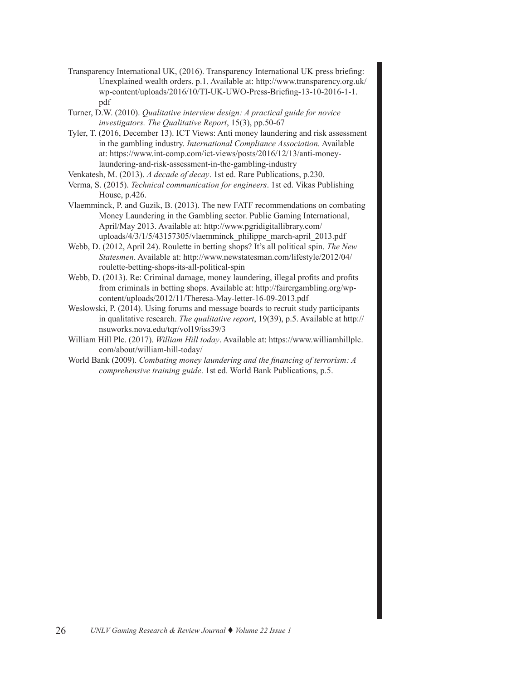- Transparency International UK, (2016). Transparency International UK press briefing: Unexplained wealth orders. p.1. Available at: http://www.transparency.org.uk/ wp-content/uploads/2016/10/TI-UK-UWO-Press-Briefing-13-10-2016-1-1. pdf
- Turner, D.W. (2010). *Qualitative interview design: A practical guide for novice investigators. The Qualitative Report*, 15(3), pp.50-67
- Tyler, T. (2016, December 13). ICT Views: Anti money laundering and risk assessment in the gambling industry. *International Compliance Association.* Available at: https://www.int-comp.com/ict-views/posts/2016/12/13/anti-moneylaundering-and-risk-assessment-in-the-gambling-industry
- Venkatesh, M. (2013). *A decade of decay*. 1st ed. Rare Publications, p.230.
- Verma, S. (2015). *Technical communication for engineers*. 1st ed. Vikas Publishing House, p.426.
- Vlaemminck, P. and Guzik, B. (2013). The new FATF recommendations on combating Money Laundering in the Gambling sector. Public Gaming International, April/May 2013. Available at: http://www.pgridigitallibrary.com/ uploads/4/3/1/5/43157305/vlaemminck\_philippe\_march-april\_2013.pdf
- Webb, D. (2012, April 24). Roulette in betting shops? It's all political spin. *The New Statesmen*. Available at: http://www.newstatesman.com/lifestyle/2012/04/ roulette-betting-shops-its-all-political-spin
- Webb, D. (2013). Re: Criminal damage, money laundering, illegal profits and profits from criminals in betting shops. Available at: http://fairergambling.org/wpcontent/uploads/2012/11/Theresa-May-letter-16-09-2013.pdf
- Weslowski, P. (2014). Using forums and message boards to recruit study participants in qualitative research. *The qualitative report*, 19(39), p.5. Available at http:// nsuworks.nova.edu/tqr/vol19/iss39/3
- William Hill Plc. (2017). *William Hill today*. Available at: https://www.williamhillplc. com/about/william-hill-today/
- World Bank (2009). *Combating money laundering and the financing of terrorism: A comprehensive training guide*. 1st ed. World Bank Publications, p.5.